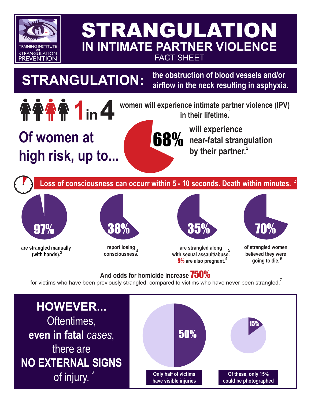

## STRANGULATION **IN INTIMATE PARTNER VIOLENCE** FACT SHEET

**the obstruction of blood vessels and/or STRANGULATION: airflow in the neck resulting in asphyxia.**

**Of women at high risk, up to...**

**1 in 4 women will experience intimate partner violence (IPV)** in their lifetime.<sup>1</sup> **in their lifetime.** 1

**will experience 68%** near-fatal strangulation **by their partner.** 2

**Loss of consciousness can occurr within 5 - 10 seconds. Death within minutes.** <sup>2</sup>



**are strangled manually (with hands).** <sup>3</sup>



**report losing consciousness.**<sup>4</sup>



9% **are also pregnant.**<sup>4</sup> **are strangled along**  5 **with sexual assault/abuse.**



**of strangled women believed they were going to die.** <sup>6</sup>

### **And odds for homicide increase** 750%

for victims who have been previously strangled, compared to victims who have never been strangled.

**HOWEVER...** Oftentimes, **even in fatal** *cases*, there are **NO EXTERNAL SIGNS of injury.**<sup>3</sup> and the only half of victims **have visible injuries have visible injuries Of these, only 15% could be photographed** 50% 15%